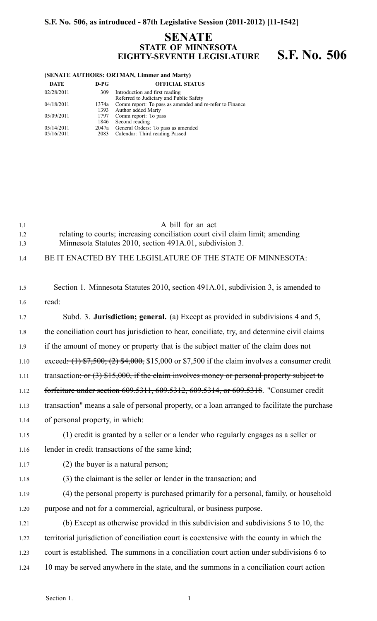# **S.F. No. 506, as introduced - 87th Legislative Session (2011-2012) [11-1542]**

## **SENATE STATE OF MINNESOTA EIGHTY-SEVENTH LEGISLATURE S.F. No. 506**

#### **(SENATE AUTHORS: ORTMAN, Limmer and Marty)**

| <b>DATE</b> | $D-PG$ | <b>OFFICIAL STATUS</b>                                  |
|-------------|--------|---------------------------------------------------------|
| 02/28/2011  | 309    | Introduction and first reading                          |
|             |        | Referred to Judiciary and Public Safety                 |
| 04/18/2011  | 1374a  | Comm report: To pass as amended and re-refer to Finance |
|             | 1393   | Author added Marty                                      |
| 05/09/2011  | 1797   | Comm report: To pass                                    |
|             | 1846   | Second reading                                          |
| 05/14/2011  |        | 2047a General Orders: To pass as amended                |
| 05/16/2011  | 2083   | Calendar: Third reading Passed                          |
|             |        |                                                         |

| 1.1<br>1.2<br>1.3 | A bill for an act<br>relating to courts; increasing conciliation court civil claim limit; amending<br>Minnesota Statutes 2010, section 491A.01, subdivision 3. |
|-------------------|----------------------------------------------------------------------------------------------------------------------------------------------------------------|
| 1.4               | BE IT ENACTED BY THE LEGISLATURE OF THE STATE OF MINNESOTA:                                                                                                    |
| 1.5               | Section 1. Minnesota Statutes 2010, section 491A.01, subdivision 3, is amended to                                                                              |
| 1.6               | read:                                                                                                                                                          |
| 1.7               | Subd. 3. <b>Jurisdiction; general.</b> (a) Except as provided in subdivisions 4 and 5,                                                                         |
| 1.8               | the conciliation court has jurisdiction to hear, conciliate, try, and determine civil claims                                                                   |
| 1.9               | if the amount of money or property that is the subject matter of the claim does not                                                                            |
| 1.10              | exceed: $(1)$ \$7,500; $(2)$ \$4,000, \$15,000 or \$7,500 if the claim involves a consumer credit                                                              |
| 1.11              | transaction; or $(3)$ \$15,000, if the claim involves money or personal property subject to                                                                    |
| 1.12              | forfeiture under section 609.5311, 609.5312, 609.5314, or 609.5318. "Consumer credit                                                                           |
| 1.13              | transaction" means a sale of personal property, or a loan arranged to facilitate the purchase                                                                  |
| 1.14              | of personal property, in which:                                                                                                                                |
| 1.15              | (1) credit is granted by a seller or a lender who regularly engages as a seller or                                                                             |
| 1.16              | lender in credit transactions of the same kind;                                                                                                                |
| 1.17              | $(2)$ the buyer is a natural person;                                                                                                                           |
| 1.18              | (3) the claimant is the seller or lender in the transaction; and                                                                                               |
| 1.19              | (4) the personal property is purchased primarily for a personal, family, or household                                                                          |
| 1.20              | purpose and not for a commercial, agricultural, or business purpose.                                                                                           |
| 1.21              | (b) Except as otherwise provided in this subdivision and subdivisions 5 to 10, the                                                                             |
| 1.22              | territorial jurisdiction of conciliation court is coextensive with the county in which the                                                                     |
| 1.23              | court is established. The summons in a conciliation court action under subdivisions 6 to                                                                       |
| 1.24              | 10 may be served anywhere in the state, and the summons in a conciliation court action                                                                         |
|                   |                                                                                                                                                                |